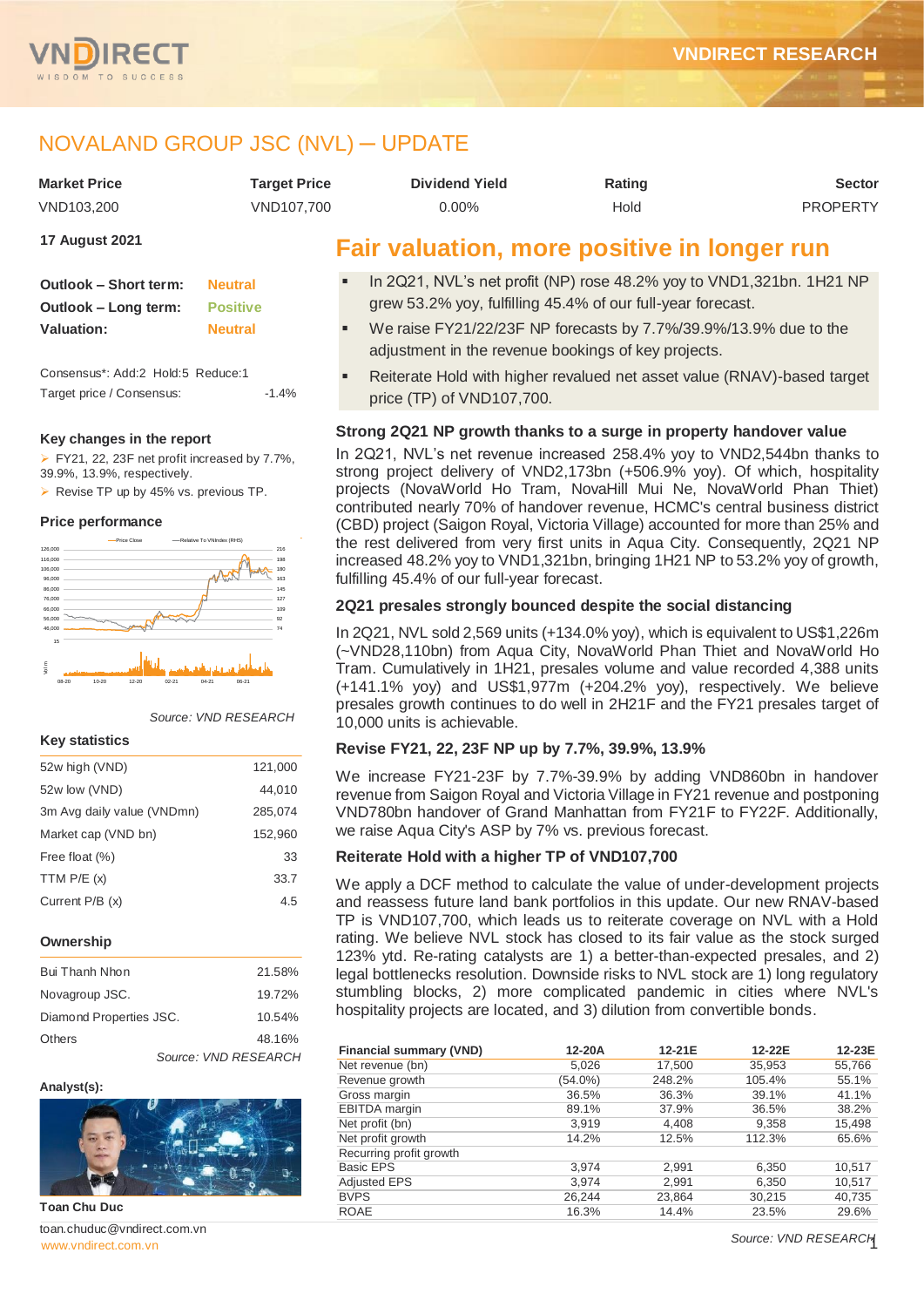

## NOVALAND GROUP JSC (NVL) ─ UPDATE

| <b>Market Price</b> | Tarqet Price | <b>Dividend Yield</b> | Rating | <b>Sector</b>   |
|---------------------|--------------|-----------------------|--------|-----------------|
| VND103.200          | VND107.700   | 0.00%                 | Hold   | <b>PROPERTY</b> |

**17 August 2021**

| Outlook - Short term: | <b>Neutral</b>  |
|-----------------------|-----------------|
| Outlook – Long term:  | <b>Positive</b> |
| <b>Valuation:</b>     | <b>Neutral</b>  |

Consensus\*: Add:2 Hold:5 Reduce:1 Target price / Consensus: -1.4%

#### **Key changes in the report**

FY21, 22, 23F net profit increased by 7.7%, 39.9%, 13.9%, respectively.

Revise TP up by 45% vs. previous TP.

#### **Price performance**



*Source: VND RESEARCH*

#### **Key statistics**

| 52w high (VND)             | 121,000 |
|----------------------------|---------|
| 52w low (VND)              | 44,010  |
| 3m Avg daily value (VNDmn) | 285,074 |
| Market cap (VND bn)        | 152,960 |
| Free float (%)             | 33      |
| TTM $P/E(x)$               | 33.7    |
| Current P/B (x)            | 4.5     |
|                            |         |

#### **Ownership**

| Bui Thanh Nhon          |                      | 21.58% |
|-------------------------|----------------------|--------|
| Novagroup JSC.          |                      | 19.72% |
| Diamond Properties JSC. |                      | 10.54% |
| Others                  |                      | 48.16% |
|                         | Source: VND RESEARCH |        |

#### **Analyst(s):**



**Toan Chu Duc**

www.vndirect.com.vr toan.chuduc@vndirect.com.vn

### **Fair valuation, more positive in longer run**

- In 2Q21, NVL's net profit (NP) rose 48.2% yoy to VND1,321bn. 1H21 NP grew 53.2% yoy, fulfilling 45.4% of our full-year forecast.
- We raise FY21/22/23F NP forecasts by 7.7%/39.9%/13.9% due to the adjustment in the revenue bookings of key projects.
- Reiterate Hold with higher revalued net asset value (RNAV)-based target price (TP) of VND107,700.

#### **Strong 2Q21 NP growth thanks to a surge in property handover value**

In 2Q21, NVL's net revenue increased 258.4% yoy to VND2,544bn thanks to strong project delivery of VND2,173bn (+506.9% yoy). Of which, hospitality projects (NovaWorld Ho Tram, NovaHill Mui Ne, NovaWorld Phan Thiet) contributed nearly 70% of handover revenue, HCMC's central business district (CBD) project (Saigon Royal, Victoria Village) accounted for more than 25% and the rest delivered from very first units in Aqua City. Consequently, 2Q21 NP increased 48.2% yoy to VND1,321bn, bringing 1H21 NP to 53.2% yoy of growth, fulfilling 45.4% of our full-year forecast.

#### **2Q21 presales strongly bounced despite the social distancing**

In 2Q21, NVL sold 2,569 units (+134.0% yoy), which is equivalent to US\$1,226m (~VND28,110bn) from Aqua City, NovaWorld Phan Thiet and NovaWorld Ho Tram. Cumulatively in 1H21, presales volume and value recorded 4,388 units (+141.1% yoy) and US\$1,977m (+204.2% yoy), respectively. We believe presales growth continues to do well in 2H21F and the FY21 presales target of 10,000 units is achievable.

#### **Revise FY21, 22, 23F NP up by 7.7%, 39.9%, 13.9%**

We increase FY21-23F by 7.7%-39.9% by adding VND860bn in handover revenue from Saigon Royal and Victoria Village in FY21 revenue and postponing VND780bn handover of Grand Manhattan from FY21F to FY22F. Additionally, we raise Aqua City's ASP by 7% vs. previous forecast.

#### **Reiterate Hold with a higher TP of VND107,700**

We apply a DCF method to calculate the value of under-development projects and reassess future land bank portfolios in this update. Our new RNAV-based TP is VND107,700, which leads us to reiterate coverage on NVL with a Hold rating. We believe NVL stock has closed to its fair value as the stock surged 123% ytd. Re-rating catalysts are 1) a better-than-expected presales, and 2) legal bottlenecks resolution. Downside risks to NVL stock are 1) long regulatory stumbling blocks, 2) more complicated pandemic in cities where NVL's hospitality projects are located, and 3) dilution from convertible bonds.

| <b>Financial summary (VND)</b> | 12-20A  | 12-21E | 12-22E | 12-23E |
|--------------------------------|---------|--------|--------|--------|
| Net revenue (bn)               | 5,026   | 17,500 | 35,953 | 55,766 |
| Revenue growth                 | (54.0%) | 248.2% | 105.4% | 55.1%  |
| Gross margin                   | 36.5%   | 36.3%  | 39.1%  | 41.1%  |
| <b>EBITDA</b> margin           | 89.1%   | 37.9%  | 36.5%  | 38.2%  |
| Net profit (bn)                | 3,919   | 4,408  | 9,358  | 15,498 |
| Net profit growth              | 14.2%   | 12.5%  | 112.3% | 65.6%  |
| Recurring profit growth        |         |        |        |        |
| <b>Basic EPS</b>               | 3,974   | 2,991  | 6,350  | 10,517 |
| <b>Adjusted EPS</b>            | 3.974   | 2,991  | 6,350  | 10,517 |
| <b>BVPS</b>                    | 26.244  | 23,864 | 30,215 | 40,735 |
| <b>ROAE</b>                    | 16.3%   | 14.4%  | 23.5%  | 29.6%  |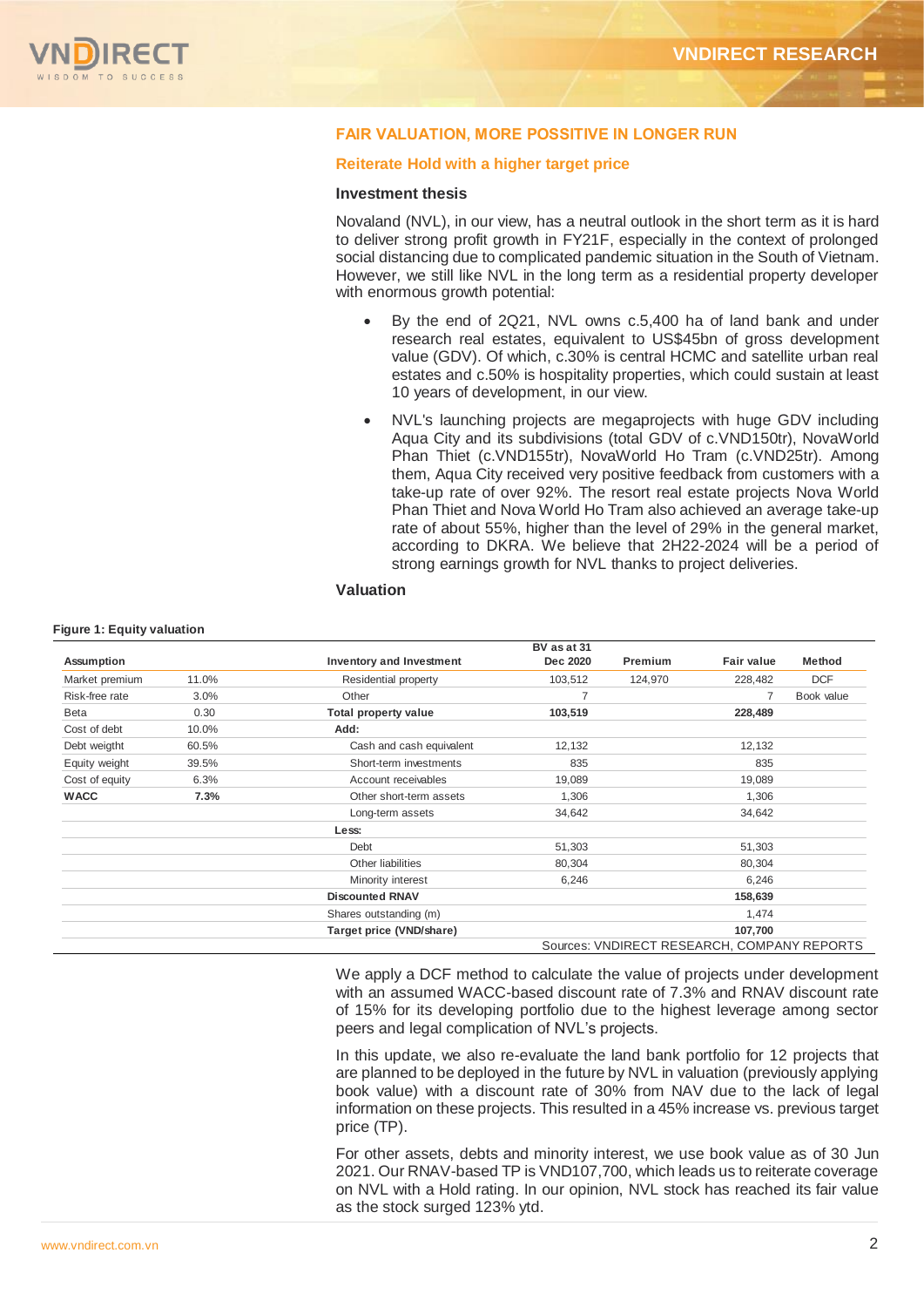

#### FAIR VALUATION, MORE POSSITIVE IN LONGER RUN

#### **Reiterate Hold with a higher target price**

#### **Investment thesis**

Novaland (NVL), in our view, has a neutral outlook in the short term as it is hard to deliver strong profit growth in FY21F, especially in the context of prolonged social distancing due to complicated pandemic situation in the South of Vietnam. However, we still like NVL in the long term as a residential property developer with enormous growth potential:

- By the end of 2Q21, NVL owns c.5,400 ha of land bank and under research real estates, equivalent to US\$45bn of gross development value (GDV). Of which, c.30% is central HCMC and satellite urban real estates and c.50% is hospitality properties, which could sustain at least 10 years of development, in our view.
- NVL's launching projects are megaprojects with huge GDV including Aqua City and its subdivisions (total GDV of c.VND150tr), NovaWorld Phan Thiet (c.VND155tr), NovaWorld Ho Tram (c.VND25tr). Among them, Aqua City received very positive feedback from customers with a take-up rate of over 92%. The resort real estate projects Nova World Phan Thiet and Nova World Ho Tram also achieved an average take-up rate of about 55%, higher than the level of 29% in the general market, according to DKRA. We believe that 2H22-2024 will be a period of strong earnings growth for NVL thanks to project deliveries.

#### **Valuation**

#### **Figure 1: Equity valuation**

|                |       |                                 | BV as at 31    |         |                                             |               |
|----------------|-------|---------------------------------|----------------|---------|---------------------------------------------|---------------|
| Assumption     |       | <b>Inventory and Investment</b> | Dec 2020       | Premium | <b>Fair value</b>                           | <b>Method</b> |
| Market premium | 11.0% | Residential property            | 103,512        | 124,970 | 228,482                                     | <b>DCF</b>    |
| Risk-free rate | 3.0%  | Other                           | $\overline{7}$ |         |                                             | Book value    |
| Beta           | 0.30  | <b>Total property value</b>     | 103,519        |         | 228,489                                     |               |
| Cost of debt   | 10.0% | Add:                            |                |         |                                             |               |
| Debt weigtht   | 60.5% | Cash and cash equivalent        | 12,132         |         | 12,132                                      |               |
| Equity weight  | 39.5% | Short-term investments          | 835            |         | 835                                         |               |
| Cost of equity | 6.3%  | Account receivables             | 19,089         |         | 19,089                                      |               |
| <b>WACC</b>    | 7.3%  | Other short-term assets         | 1,306          |         | 1,306                                       |               |
|                |       | Long-term assets                | 34,642         |         | 34,642                                      |               |
|                |       | Less:                           |                |         |                                             |               |
|                |       | Debt                            | 51,303         |         | 51,303                                      |               |
|                |       | Other liabilities               | 80,304         |         | 80,304                                      |               |
|                |       | Minority interest               | 6,246          |         | 6,246                                       |               |
|                |       | <b>Discounted RNAV</b>          |                |         | 158,639                                     |               |
|                |       | Shares outstanding (m)          |                |         | 1,474                                       |               |
|                |       | Target price (VND/share)        |                |         | 107,700                                     |               |
|                |       |                                 |                |         | Sources: VNDIRECT RESEARCH, COMPANY REPORTS |               |

We apply a DCF method to calculate the value of projects under development with an assumed WACC-based discount rate of 7.3% and RNAV discount rate of 15% for its developing portfolio due to the highest leverage among sector peers and legal complication of NVL's projects.

In this update, we also re-evaluate the land bank portfolio for 12 projects that are planned to be deployed in the future by NVL in valuation (previously applying book value) with a discount rate of 30% from NAV due to the lack of legal information on these projects. This resulted in a 45% increase vs. previous target price (TP).

For other assets, debts and minority interest, we use book value as of 30 Jun 2021. Our RNAV-based TP is VND107,700, which leads us to reiterate coverage on NVL with a Hold rating. In our opinion, NVL stock has reached its fair value as the stock surged 123% ytd.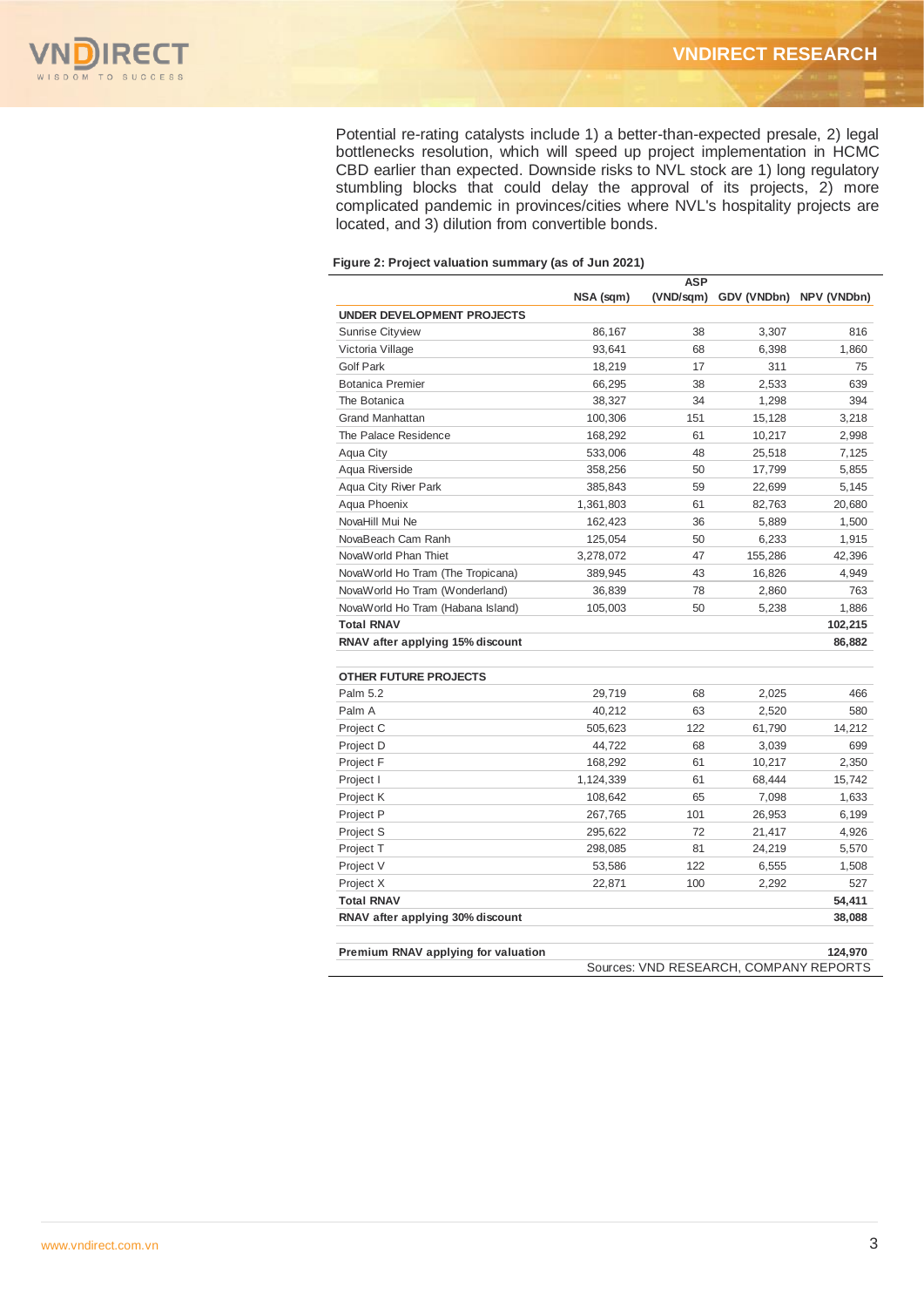

Potential re-rating catalysts include 1) a better-than-expected presale, 2) legal bottlenecks resolution, which will speed up project implementation in HCMC CBD earlier than expected. Downside risks to NVL stock are 1) long regulatory stumbling blocks that could delay the approval of its projects, 2) more complicated pandemic in provinces/cities where NVL's hospitality projects are located, and 3) dilution from convertible bonds.

#### **Figure 2: Project valuation summary (as of Jun 2021)**

|                                     |           | ASP       |                                        |             |
|-------------------------------------|-----------|-----------|----------------------------------------|-------------|
|                                     | NSA (sqm) | (VND/sqm) | GDV (VNDbn)                            | NPV (VNDbn) |
| UNDER DEVELOPMENT PROJECTS          |           |           |                                        |             |
| <b>Sunrise Cityview</b>             | 86,167    | 38        | 3,307                                  | 816         |
| Victoria Village                    | 93,641    | 68        | 6,398                                  | 1.860       |
| <b>Golf Park</b>                    | 18,219    | 17        | 311                                    | 75          |
| <b>Botanica Premier</b>             | 66,295    | 38        | 2,533                                  | 639         |
| The Botanica                        | 38,327    | 34        | 1.298                                  | 394         |
| <b>Grand Manhattan</b>              | 100,306   | 151       | 15,128                                 | 3,218       |
| The Palace Residence                | 168,292   | 61        | 10,217                                 | 2,998       |
| Aqua City                           | 533,006   | 48        | 25,518                                 | 7,125       |
| Aqua Riverside                      | 358,256   | 50        | 17,799                                 | 5,855       |
| Aqua City River Park                | 385,843   | 59        | 22,699                                 | 5,145       |
| Aqua Phoenix                        | 1,361,803 | 61        | 82,763                                 | 20,680      |
| NovaHill Mui Ne                     | 162,423   | 36        | 5,889                                  | 1,500       |
| NovaBeach Cam Ranh                  | 125,054   | 50        | 6,233                                  | 1,915       |
| NovaWorld Phan Thiet                | 3,278,072 | 47        | 155,286                                | 42,396      |
| NovaWorld Ho Tram (The Tropicana)   | 389,945   | 43        | 16,826                                 | 4.949       |
| NovaWorld Ho Tram (Wonderland)      | 36,839    | 78        | 2,860                                  | 763         |
| NovaWorld Ho Tram (Habana Island)   | 105,003   | 50        | 5,238                                  | 1,886       |
| <b>Total RNAV</b>                   |           |           |                                        | 102,215     |
| RNAV after applying 15% discount    |           |           |                                        | 86,882      |
|                                     |           |           |                                        |             |
| <b>OTHER FUTURE PROJECTS</b>        |           |           |                                        |             |
| Palm 5.2                            | 29,719    | 68        | 2,025                                  | 466         |
| Palm A                              | 40,212    | 63        | 2,520                                  | 580         |
| Project C                           | 505,623   | 122       | 61,790                                 | 14,212      |
| Project D                           | 44,722    | 68        | 3,039                                  | 699         |
| Project F                           | 168,292   | 61        | 10,217                                 | 2,350       |
| Project I                           | 1,124,339 | 61        | 68,444                                 | 15,742      |
| Project K                           | 108,642   | 65        | 7,098                                  | 1,633       |
| Project P                           | 267,765   | 101       | 26,953                                 | 6,199       |
| Project S                           | 295,622   | 72        | 21,417                                 | 4,926       |
| Project T                           | 298,085   | 81        | 24,219                                 | 5,570       |
| Project V                           | 53,586    | 122       | 6,555                                  | 1,508       |
| Project X                           | 22,871    | 100       | 2,292                                  | 527         |
| <b>Total RNAV</b>                   |           |           |                                        | 54,411      |
| RNAV after applying 30% discount    |           |           |                                        | 38,088      |
|                                     |           |           |                                        |             |
| Premium RNAV applying for valuation |           |           | Sources: VND RESEARCH, COMPANY REPORTS | 124,970     |
|                                     |           |           |                                        |             |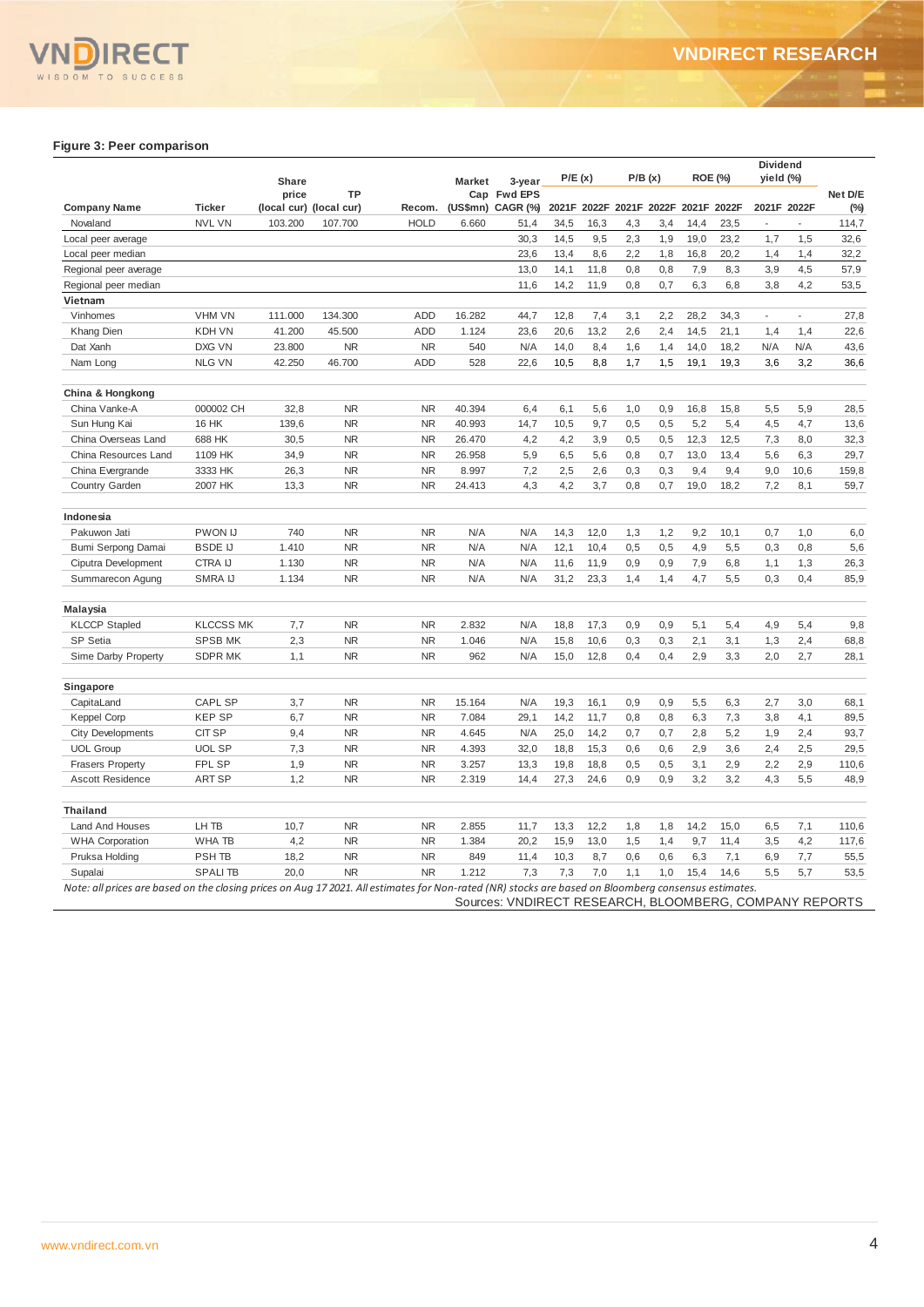#### **Figure 3: Peer comparison**

|                                                                                                                                                      |                   | <b>Share</b> |                               |             | <b>Market</b> | 3-year                                                 | P/E(x) |      |                         | P/B(x) |      | <b>ROE (%)</b> | Dividend<br>yield (%)    |             |                |
|------------------------------------------------------------------------------------------------------------------------------------------------------|-------------------|--------------|-------------------------------|-------------|---------------|--------------------------------------------------------|--------|------|-------------------------|--------|------|----------------|--------------------------|-------------|----------------|
| <b>Company Name</b>                                                                                                                                  | <b>Ticker</b>     | price        | TP<br>(local cur) (local cur) | Recom.      |               | Cap Fwd EPS<br>(US\$mn) CAGR (%)                       |        |      | 2021F 2022F 2021F 2022F |        |      | 2021F 2022F    |                          | 2021F 2022F | Net D/E<br>(%) |
| Novaland                                                                                                                                             | <b>NVL VN</b>     | 103.200      | 107.700                       | <b>HOLD</b> | 6.660         | 51,4                                                   | 34,5   | 16,3 | 4,3                     | 3,4    | 14,4 | 23,5           | $\overline{\phantom{a}}$ | L.          | 114,7          |
| Local peer average                                                                                                                                   |                   |              |                               |             |               | 30,3                                                   | 14,5   | 9,5  | 2,3                     | 1,9    | 19,0 | 23,2           | 1,7                      | 1,5         | 32,6           |
| Local peer median                                                                                                                                    |                   |              |                               |             |               | 23,6                                                   | 13,4   | 8,6  | 2,2                     | 1,8    | 16,8 | 20,2           | 1,4                      | 1,4         | 32,2           |
| Regional peer average                                                                                                                                |                   |              |                               |             |               | 13,0                                                   | 14,1   | 11,8 | 0.8                     | 0,8    | 7,9  | 8,3            | 3,9                      | 4.5         | 57,9           |
| Regional peer median                                                                                                                                 |                   |              |                               |             |               | 11,6                                                   | 14,2   | 11,9 | 0,8                     | 0,7    | 6,3  | 6,8            | 3,8                      | 4,2         | 53,5           |
| Vietnam                                                                                                                                              |                   |              |                               |             |               |                                                        |        |      |                         |        |      |                |                          |             |                |
| Vinhomes                                                                                                                                             | <b>VHM VN</b>     | 111.000      | 134.300                       | ADD         | 16.282        | 44,7                                                   | 12,8   | 7,4  | 3,1                     | 2,2    | 28,2 | 34,3           | $\blacksquare$           | ÷,          | 27,8           |
| Khang Dien                                                                                                                                           | KDH VN            | 41.200       | 45.500                        | ADD         | 1.124         | 23,6                                                   | 20,6   | 13,2 | 2,6                     | 2,4    | 14,5 | 21,1           | 1,4                      | 1,4         | 22,6           |
| Dat Xanh                                                                                                                                             | DXG VN            | 23.800       | <b>NR</b>                     | <b>NR</b>   | 540           | N/A                                                    | 14,0   | 8,4  | 1,6                     | 1,4    | 14,0 | 18,2           | N/A                      | N/A         | 43,6           |
| Nam Long                                                                                                                                             | <b>NLG VN</b>     | 42.250       | 46.700                        | ADD         | 528           | 22,6                                                   | 10,5   | 8,8  | 1,7                     | 1,5    | 19,1 | 19,3           | 3,6                      | 3,2         | 36,6           |
|                                                                                                                                                      |                   |              |                               |             |               |                                                        |        |      |                         |        |      |                |                          |             |                |
| China & Hongkong                                                                                                                                     |                   |              |                               |             |               |                                                        |        |      |                         |        |      |                |                          |             |                |
| China Vanke-A                                                                                                                                        | 000002 CH         | 32,8         | <b>NR</b>                     | <b>NR</b>   | 40.394        | 6,4                                                    | 6,1    | 5,6  | 1,0                     | 0,9    | 16,8 | 15,8           | 5,5                      | 5,9         | 28,5           |
| Sun Hung Kai                                                                                                                                         | <b>16 HK</b>      | 139,6        | <b>NR</b>                     | <b>NR</b>   | 40.993        | 14,7                                                   | 10,5   | 9,7  | 0,5                     | 0,5    | 5,2  | 5,4            | 4,5                      | 4,7         | 13,6           |
| China Overseas Land                                                                                                                                  | 688 HK            | 30,5         | <b>NR</b>                     | <b>NR</b>   | 26.470        | 4,2                                                    | 4,2    | 3,9  | 0,5                     | 0,5    | 12,3 | 12,5           | 7,3                      | 8,0         | 32,3           |
| China Resources Land                                                                                                                                 | 1109 HK           | 34,9         | <b>NR</b>                     | <b>NR</b>   | 26.958        | 5,9                                                    | 6,5    | 5,6  | 0,8                     | 0,7    | 13,0 | 13,4           | 5,6                      | 6,3         | 29,7           |
| China Evergrande                                                                                                                                     | 3333 HK           | 26,3         | <b>NR</b>                     | <b>NR</b>   | 8.997         | 7,2                                                    | 2,5    | 2,6  | 0,3                     | 0,3    | 9,4  | 9,4            | 9,0                      | 10,6        | 159,8          |
| Country Garden                                                                                                                                       | 2007 HK           | 13,3         | <b>NR</b>                     | <b>NR</b>   | 24.413        | 4,3                                                    | 4,2    | 3,7  | 0,8                     | 0,7    | 19,0 | 18,2           | 7,2                      | 8,1         | 59,7           |
| Indonesia                                                                                                                                            |                   |              |                               |             |               |                                                        |        |      |                         |        |      |                |                          |             |                |
| Pakuwon Jati                                                                                                                                         | <b>PWON IJ</b>    | 740          | <b>NR</b>                     | <b>NR</b>   | N/A           | N/A                                                    | 14,3   | 12,0 | 1,3                     | 1,2    | 9,2  | 10,1           | 0,7                      | 1,0         | 6,0            |
| Bumi Serpong Damai                                                                                                                                   | <b>BSDE IJ</b>    | 1.410        | <b>NR</b>                     | <b>NR</b>   | N/A           | N/A                                                    | 12.1   | 10,4 | 0,5                     | 0,5    | 4,9  | 5,5            | 0,3                      | 0,8         | 5,6            |
| Ciputra Development                                                                                                                                  | <b>CTRA IJ</b>    | 1.130        | <b>NR</b>                     | <b>NR</b>   | N/A           | N/A                                                    | 11,6   | 11,9 | 0,9                     | 0,9    | 7,9  | 6,8            | 1,1                      | 1,3         | 26,3           |
| Summarecon Agung                                                                                                                                     | SMRA IJ           | 1.134        | <b>NR</b>                     | <b>NR</b>   | N/A           | N/A                                                    | 31,2   | 23,3 | 1,4                     | 1,4    | 4,7  | 5,5            | 0,3                      | 0,4         | 85,9           |
| Malaysia                                                                                                                                             |                   |              |                               |             |               |                                                        |        |      |                         |        |      |                |                          |             |                |
| <b>KLCCP Stapled</b>                                                                                                                                 | <b>KLCCSS MK</b>  | 7,7          | <b>NR</b>                     | <b>NR</b>   | 2.832         | N/A                                                    | 18,8   | 17,3 | 0,9                     | 0,9    | 5,1  | 5,4            | 4,9                      | 5,4         | 9,8            |
| SP Setia                                                                                                                                             | <b>SPSB MK</b>    | 2,3          | <b>NR</b>                     | <b>NR</b>   | 1.046         | N/A                                                    | 15,8   | 10,6 | 0,3                     | 0,3    | 2,1  | 3,1            | 1,3                      | 2,4         | 68,8           |
| Sime Darby Property                                                                                                                                  | <b>SDPR MK</b>    | 1,1          | <b>NR</b>                     | <b>NR</b>   | 962           | N/A                                                    | 15,0   | 12,8 | 0,4                     | 0,4    | 2,9  | 3,3            | 2,0                      | 2,7         | 28,1           |
|                                                                                                                                                      |                   |              |                               |             |               |                                                        |        |      |                         |        |      |                |                          |             |                |
| Singapore<br>CapitaLand                                                                                                                              | CAPL SP           | 3,7          | <b>NR</b>                     | <b>NR</b>   | 15.164        | N/A                                                    | 19,3   | 16,1 | 0,9                     | 0,9    | 5,5  | 6,3            | 2,7                      | 3,0         | 68,1           |
| <b>Keppel Corp</b>                                                                                                                                   | <b>KEP SP</b>     | 6,7          | <b>NR</b>                     | <b>NR</b>   | 7.084         | 29,1                                                   | 14,2   | 11,7 | 0,8                     | 0,8    | 6,3  | 7,3            | 3,8                      | 4,1         | 89,5           |
| <b>City Developments</b>                                                                                                                             | CIT SP            | 9,4          | <b>NR</b>                     | <b>NR</b>   | 4.645         | N/A                                                    | 25,0   | 14,2 | 0,7                     | 0,7    | 2,8  | 5,2            | 1,9                      | 2,4         | 93,7           |
| <b>UOL Group</b>                                                                                                                                     | <b>UOL SP</b>     | 7,3          | <b>NR</b>                     | <b>NR</b>   | 4.393         | 32,0                                                   | 18,8   | 15,3 | 0,6                     | 0,6    | 2,9  | 3,6            | 2,4                      | 2,5         | 29,5           |
| <b>Frasers Property</b>                                                                                                                              | FPL SP            | 1,9          | <b>NR</b>                     | <b>NR</b>   | 3.257         | 13,3                                                   | 19,8   | 18,8 | 0,5                     | 0,5    | 3,1  | 2,9            | 2,2                      | 2,9         | 110,6          |
| <b>Ascott Residence</b>                                                                                                                              | <b>ART SP</b>     | 1,2          | <b>NR</b>                     | <b>NR</b>   | 2.319         | 14,4                                                   | 27,3   | 24,6 | 0,9                     | 0,9    | 3,2  | 3,2            | 4,3                      | 5,5         | 48,9           |
|                                                                                                                                                      |                   |              |                               |             |               |                                                        |        |      |                         |        |      |                |                          |             |                |
| <b>Thailand</b>                                                                                                                                      |                   |              |                               |             |               |                                                        |        |      |                         |        |      |                |                          |             |                |
| Land And Houses                                                                                                                                      | LH TB             | 10,7         | <b>NR</b>                     | <b>NR</b>   | 2.855         | 11,7                                                   | 13,3   | 12,2 | 1,8                     | 1,8    | 14,2 | 15,0           | 6,5                      | 7,1         | 110,6          |
| <b>WHA Corporation</b>                                                                                                                               | WHA TB            | 4,2          | <b>NR</b>                     | <b>NR</b>   | 1.384         | 20,2                                                   | 15,9   | 13,0 | 1,5                     | 1,4    | 9,7  | 11,4           | 3,5                      | 4,2         | 117,6          |
| Pruksa Holding                                                                                                                                       | PSH <sub>TB</sub> | 18,2         | <b>NR</b>                     | <b>NR</b>   | 849           | 11,4                                                   | 10,3   | 8,7  | 0,6                     | 0,6    | 6,3  | 7,1            | 6,9                      | 7,7         | 55,5           |
| Supalai                                                                                                                                              | <b>SPALITB</b>    | 20,0         | <b>NR</b>                     | <b>NR</b>   | 1.212         | 7,3                                                    | 7,3    | 7,0  | 1,1                     | 1,0    | 15,4 | 14,6           | 5,5                      | 5,7         | 53,5           |
| Note: all prices are based on the closing prices on Aug 17 2021. All estimates for Non-rated (NR) stocks are based on Bloomberg consensus estimates. |                   |              |                               |             |               | Sources: VNDIRECT RESEARCH, BLOOMBERG, COMPANY REPORTS |        |      |                         |        |      |                |                          |             |                |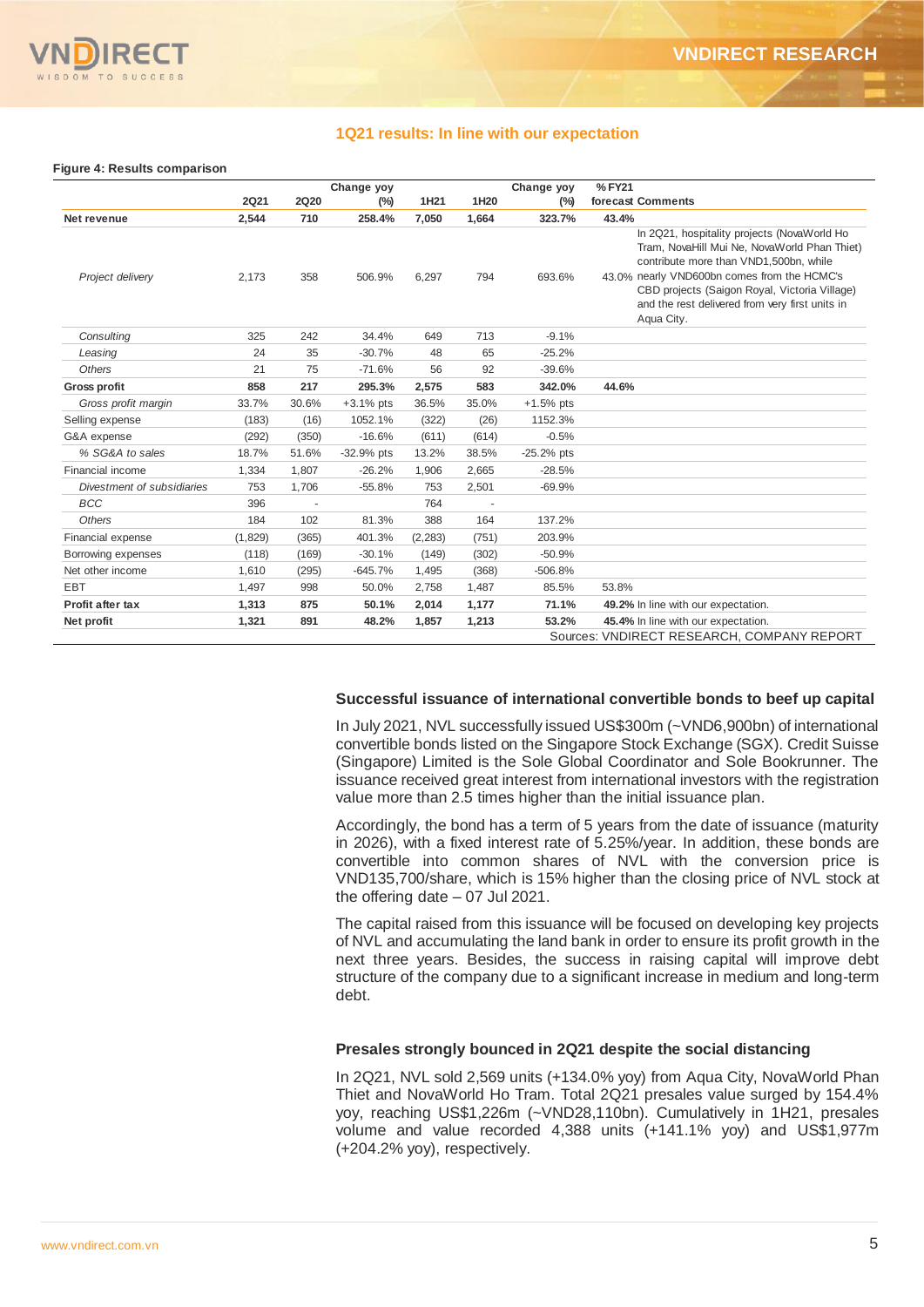

#### **1Q21 results: In line with our expectation**

#### **Figure 4: Results comparison**

|                            |             |             | Change yoy   |          |       | Change yoy   | %FY21                                                                                                                                                                                                                                                                                                  |
|----------------------------|-------------|-------------|--------------|----------|-------|--------------|--------------------------------------------------------------------------------------------------------------------------------------------------------------------------------------------------------------------------------------------------------------------------------------------------------|
|                            | <b>2Q21</b> | <b>2Q20</b> | (%)          | 1H21     | 1H20  | $(\%)$       | forecast Comments                                                                                                                                                                                                                                                                                      |
| Net revenue                | 2,544       | 710         | 258.4%       | 7.050    | 1,664 | 323.7%       | 43.4%                                                                                                                                                                                                                                                                                                  |
| Project delivery           | 2,173       | 358         | 506.9%       | 6,297    | 794   | 693.6%       | In 2Q21, hospitality projects (NovaWorld Ho<br>Tram, NovaHill Mui Ne, NovaWorld Phan Thiet)<br>contribute more than VND1,500bn, while<br>43.0% nearly VND600bn comes from the HCMC's<br>CBD projects (Saigon Royal, Victoria Village)<br>and the rest delivered from very first units in<br>Aqua City. |
| Consulting                 | 325         | 242         | 34.4%        | 649      | 713   | $-9.1%$      |                                                                                                                                                                                                                                                                                                        |
| Leasing                    | 24          | 35          | $-30.7%$     | 48       | 65    | $-25.2%$     |                                                                                                                                                                                                                                                                                                        |
| <b>Others</b>              | 21          | 75          | $-71.6%$     | 56       | 92    | $-39.6%$     |                                                                                                                                                                                                                                                                                                        |
| <b>Gross profit</b>        | 858         | 217         | 295.3%       | 2,575    | 583   | 342.0%       | 44.6%                                                                                                                                                                                                                                                                                                  |
| Gross profit margin        | 33.7%       | 30.6%       | $+3.1%$ pts  | 36.5%    | 35.0% | $+1.5%$ pts  |                                                                                                                                                                                                                                                                                                        |
| Selling expense            | (183)       | (16)        | 1052.1%      | (322)    | (26)  | 1152.3%      |                                                                                                                                                                                                                                                                                                        |
| G&A expense                | (292)       | (350)       | $-16.6%$     | (611)    | (614) | $-0.5%$      |                                                                                                                                                                                                                                                                                                        |
| % SG&A to sales            | 18.7%       | 51.6%       | $-32.9%$ pts | 13.2%    | 38.5% | $-25.2%$ pts |                                                                                                                                                                                                                                                                                                        |
| Financial income           | 1,334       | 1,807       | $-26.2%$     | 1,906    | 2,665 | $-28.5%$     |                                                                                                                                                                                                                                                                                                        |
| Divestment of subsidiaries | 753         | 1,706       | $-55.8%$     | 753      | 2,501 | $-69.9%$     |                                                                                                                                                                                                                                                                                                        |
| <b>BCC</b>                 | 396         |             |              | 764      |       |              |                                                                                                                                                                                                                                                                                                        |
| Others                     | 184         | 102         | 81.3%        | 388      | 164   | 137.2%       |                                                                                                                                                                                                                                                                                                        |
| Financial expense          | (1,829)     | (365)       | 401.3%       | (2, 283) | (751) | 203.9%       |                                                                                                                                                                                                                                                                                                        |
| Borrowing expenses         | (118)       | (169)       | $-30.1%$     | (149)    | (302) | $-50.9%$     |                                                                                                                                                                                                                                                                                                        |
| Net other income           | 1,610       | (295)       | $-645.7%$    | 1,495    | (368) | $-506.8%$    |                                                                                                                                                                                                                                                                                                        |
| <b>EBT</b>                 | 1,497       | 998         | 50.0%        | 2,758    | 1,487 | 85.5%        | 53.8%                                                                                                                                                                                                                                                                                                  |
| <b>Profit after tax</b>    | 1,313       | 875         | 50.1%        | 2.014    | 1,177 | 71.1%        | 49.2% In line with our expectation.                                                                                                                                                                                                                                                                    |
| Net profit                 | 1,321       | 891         | 48.2%        | 1,857    | 1,213 | 53.2%        | 45.4% In line with our expectation.                                                                                                                                                                                                                                                                    |
|                            |             |             |              |          |       |              | Sources: VNDIRECT RESEARCH, COMPANY REPORT                                                                                                                                                                                                                                                             |

#### **Successful issuance of international convertible bonds to beef up capital**

In July 2021, NVL successfully issued US\$300m (~VND6,900bn) of international convertible bonds listed on the Singapore Stock Exchange (SGX). Credit Suisse (Singapore) Limited is the Sole Global Coordinator and Sole Bookrunner. The issuance received great interest from international investors with the registration value more than 2.5 times higher than the initial issuance plan.

Accordingly, the bond has a term of 5 years from the date of issuance (maturity in 2026), with a fixed interest rate of 5.25%/year. In addition, these bonds are convertible into common shares of NVL with the conversion price is VND135,700/share, which is 15% higher than the closing price of NVL stock at the offering date – 07 Jul 2021.

The capital raised from this issuance will be focused on developing key projects of NVL and accumulating the land bank in order to ensure its profit growth in the next three years. Besides, the success in raising capital will improve debt structure of the company due to a significant increase in medium and long-term debt.

#### **Presales strongly bounced in 2Q21 despite the social distancing**

In 2Q21, NVL sold 2,569 units (+134.0% yoy) from Aqua City, NovaWorld Phan Thiet and NovaWorld Ho Tram. Total 2Q21 presales value surged by 154.4% yoy, reaching US\$1,226m (~VND28,110bn). Cumulatively in 1H21, presales volume and value recorded 4,388 units (+141.1% yoy) and US\$1,977m (+204.2% yoy), respectively.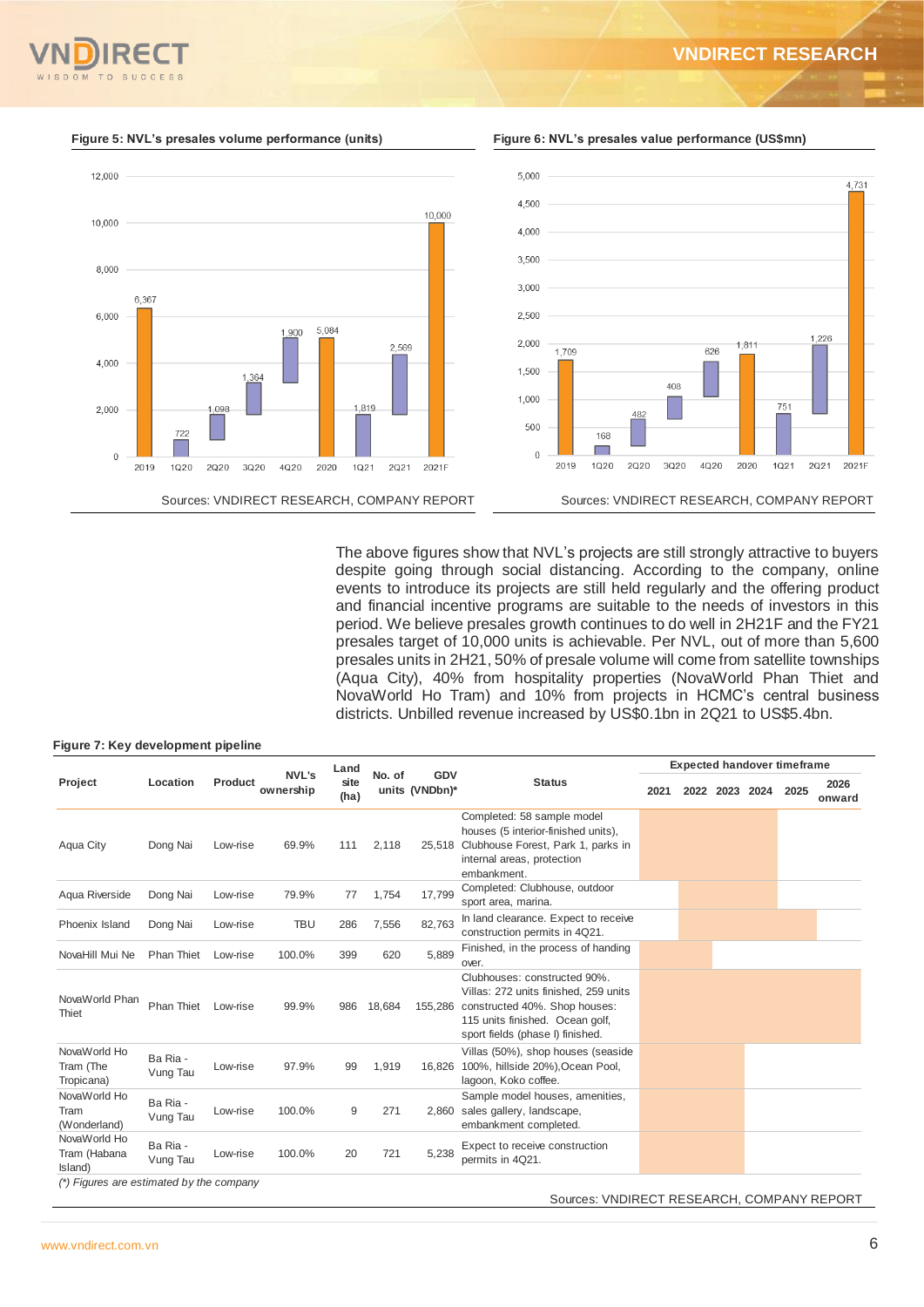#### **VNDIRECT RESEARCH**





The above figures show that NVL's projects are still strongly attractive to buyers despite going through social distancing. According to the company, online events to introduce its projects are still held regularly and the offering product and financial incentive programs are suitable to the needs of investors in this period. We believe presales growth continues to do well in 2H21F and the FY21 presales target of 10,000 units is achievable. Per NVL, out of more than 5,600 presales units in 2H21, 50% of presale volume will come from satellite townships (Aqua City), 40% from hospitality properties (NovaWorld Phan Thiet and NovaWorld Ho Tram) and 10% from projects in HCMC's central business districts. Unbilled revenue increased by US\$0.1bn in 2Q21 to US\$5.4bn.

## **Figure 7: Key development pipeline**

|                                            |                      |          |                           | Land         |        |                       |                                                                                                                                                                               |      |           |      | <b>Expected handover timeframe</b> |                |
|--------------------------------------------|----------------------|----------|---------------------------|--------------|--------|-----------------------|-------------------------------------------------------------------------------------------------------------------------------------------------------------------------------|------|-----------|------|------------------------------------|----------------|
| Project                                    | Location             | Product  | <b>NVL's</b><br>ownership | site<br>(ha) | No. of | GDV<br>units (VNDbn)* | <b>Status</b>                                                                                                                                                                 | 2021 | 2022 2023 | 2024 | 2025                               | 2026<br>onward |
| Aqua City                                  | Dong Nai             | Low-rise | 69.9%                     | 111          | 2,118  |                       | Completed: 58 sample model<br>houses (5 interior-finished units),<br>25,518 Clubhouse Forest, Park 1, parks in<br>internal areas, protection<br>embankment.                   |      |           |      |                                    |                |
| Aqua Riverside                             | Dong Nai             | Low-rise | 79.9%                     | 77           | 1,754  | 17,799                | Completed: Clubhouse, outdoor<br>sport area, marina.                                                                                                                          |      |           |      |                                    |                |
| Phoenix Island                             | Dong Nai             | Low-rise | <b>TBU</b>                | 286          | 7,556  | 82,763                | In land clearance. Expect to receive<br>construction permits in 4Q21.                                                                                                         |      |           |      |                                    |                |
| NovaHill Mui Ne                            | <b>Phan Thiet</b>    | Low-rise | 100.0%                    | 399          | 620    | 5,889                 | Finished, in the process of handing<br>over.                                                                                                                                  |      |           |      |                                    |                |
| NovaWorld Phan<br>Thiet                    | Phan Thiet           | Low-rise | 99.9%                     | 986          | 18,684 | 155,286               | Clubhouses: constructed 90%.<br>Villas: 272 units finished. 259 units<br>constructed 40%. Shop houses:<br>115 units finished. Ocean golf,<br>sport fields (phase I) finished. |      |           |      |                                    |                |
| NovaWorld Ho<br>Tram (The<br>Tropicana)    | Ba Ria -<br>Vung Tau | Low-rise | 97.9%                     | 99           | 1,919  | 16.826                | Villas (50%), shop houses (seaside<br>100%, hillside 20%), Ocean Pool,<br>lagoon, Koko coffee.                                                                                |      |           |      |                                    |                |
| NovaWorld Ho<br>Tram<br>(Wonderland)       | Ba Ria -<br>Vung Tau | Low-rise | 100.0%                    | 9            | 271    | 2.860                 | Sample model houses, amenities,<br>sales gallery, landscape,<br>embankment completed.                                                                                         |      |           |      |                                    |                |
| NovaWorld Ho<br>Tram (Habana<br>Island)    | Ba Ria -<br>Vung Tau | Low-rise | 100.0%                    | 20           | 721    | 5,238                 | Expect to receive construction<br>permits in 4Q21.                                                                                                                            |      |           |      |                                    |                |
| $(*)$ Figures are estimated by the company |                      |          |                           |              |        |                       | Sources: VNDIRECT RESEARCH, COMPANY REPORT                                                                                                                                    |      |           |      |                                    |                |

**Figure 5: NVL's presales volume performance (units) Figure 6: NVL's presales value performance (US\$mn)**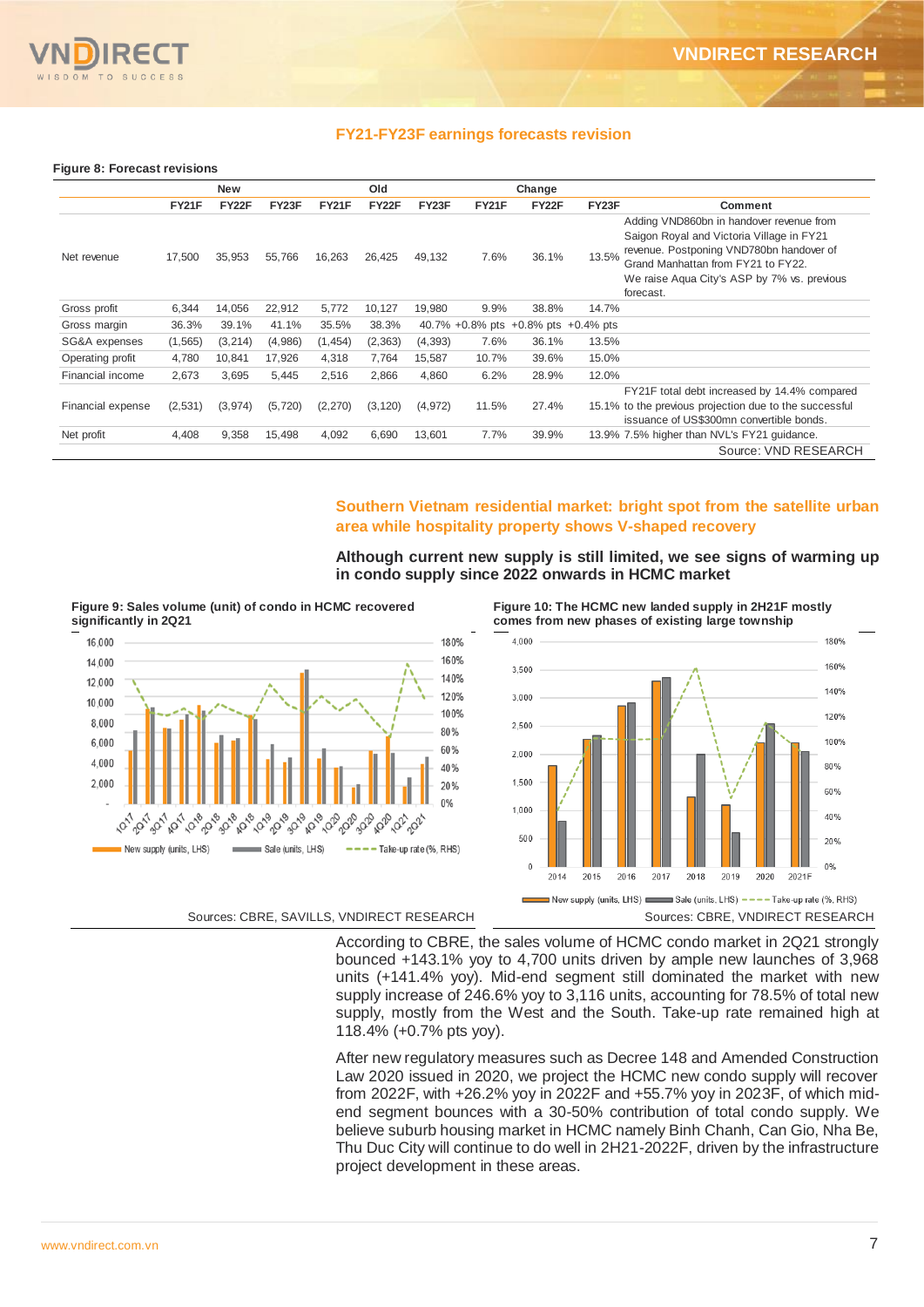

#### **FY21-FY23F earnings forecasts revision**

#### **Figure 8: Forecast revisions**

|                   |          | <b>New</b> |          |              | Old      |          |       | Change |                                     |                                                                                                                                                                                                                                     |
|-------------------|----------|------------|----------|--------------|----------|----------|-------|--------|-------------------------------------|-------------------------------------------------------------------------------------------------------------------------------------------------------------------------------------------------------------------------------------|
|                   | FY21F    | FY22F      | FY23F    | <b>FY21F</b> | FY22F    | FY23F    | FY21F | FY22F  | FY23F                               | Comment                                                                                                                                                                                                                             |
| Net revenue       | 17,500   | 35,953     | 55,766   | 16,263       | 26,425   | 49,132   | 7.6%  | 36.1%  | 13.5%                               | Adding VND860bn in handover revenue from<br>Saigon Royal and Victoria Village in FY21<br>revenue. Postponing VND780bn handover of<br>Grand Manhattan from FY21 to FY22.<br>We raise Agua City's ASP by 7% vs. previous<br>forecast. |
| Gross profit      | 6,344    | 14,056     | 22,912   | 5,772        | 10,127   | 19,980   | 9.9%  | 38.8%  | 14.7%                               |                                                                                                                                                                                                                                     |
| Gross margin      | 36.3%    | 39.1%      | 41.1%    | 35.5%        | 38.3%    |          |       |        | 40.7% +0.8% pts +0.8% pts +0.4% pts |                                                                                                                                                                                                                                     |
| SG&A expenses     | (1, 565) | (3,214)    | (4,986)  | (1, 454)     | (2, 363) | (4, 393) | 7.6%  | 36.1%  | 13.5%                               |                                                                                                                                                                                                                                     |
| Operating profit  | 4,780    | 10,841     | 17,926   | 4,318        | 7,764    | 15,587   | 10.7% | 39.6%  | 15.0%                               |                                                                                                                                                                                                                                     |
| Financial income  | 2.673    | 3.695      | 5,445    | 2.516        | 2.866    | 4.860    | 6.2%  | 28.9%  | 12.0%                               |                                                                                                                                                                                                                                     |
| Financial expense | (2,531)  | (3,974)    | (5, 720) | (2,270)      | (3, 120) | (4,972)  | 11.5% | 27.4%  |                                     | FY21F total debt increased by 14.4% compared<br>15.1% to the previous projection due to the successful<br>issuance of US\$300mn convertible bonds.                                                                                  |
| Net profit        | 4,408    | 9,358      | 15,498   | 4,092        | 6,690    | 13,601   | 7.7%  | 39.9%  |                                     | 13.9% 7.5% higher than NVL's FY21 quidance.                                                                                                                                                                                         |
|                   |          |            |          |              |          |          |       |        |                                     | Source: VND RESEARCH                                                                                                                                                                                                                |

#### **Southern Vietnam residential market: bright spot from the satellite urban area while hospitality property shows V-shaped recovery**

**Although current new supply is still limited, we see signs of warming up in condo supply since 2022 onwards in HCMC market**

**Figure 9: Sales volume (unit) of condo in HCMC recovered significantly in 2Q21**



**Figure 10: The HCMC new landed supply in 2H21F mostly comes from new phases of existing large township**



According to CBRE, the sales volume of HCMC condo market in 2Q21 strongly bounced +143.1% yoy to 4,700 units driven by ample new launches of 3,968 units (+141.4% yoy). Mid-end segment still dominated the market with new supply increase of 246.6% yoy to 3,116 units, accounting for 78.5% of total new supply, mostly from the West and the South. Take-up rate remained high at 118.4% (+0.7% pts yoy).

After new regulatory measures such as Decree 148 and Amended Construction Law 2020 issued in 2020, we project the HCMC new condo supply will recover from 2022F, with +26.2% yoy in 2022F and +55.7% yoy in 2023F, of which midend segment bounces with a 30-50% contribution of total condo supply. We believe suburb housing market in HCMC namely Binh Chanh, Can Gio, Nha Be, Thu Duc City will continue to do well in 2H21-2022F, driven by the infrastructure project development in these areas.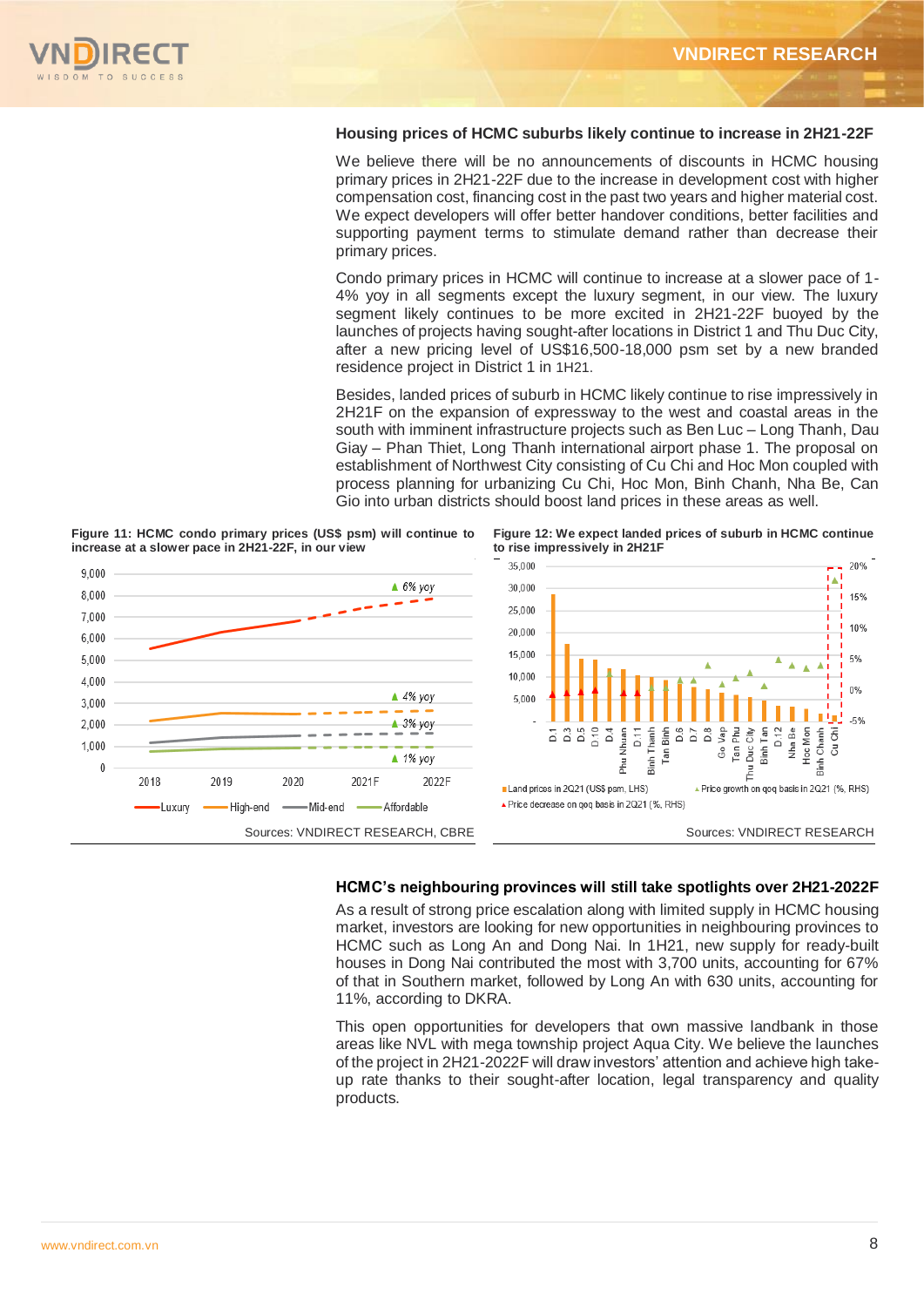

#### **Housing prices of HCMC suburbs likely continue to increase in 2H21-22F**

We believe there will be no announcements of discounts in HCMC housing primary prices in 2H21-22F due to the increase in development cost with higher compensation cost, financing cost in the past two years and higher material cost. We expect developers will offer better handover conditions, better facilities and supporting payment terms to stimulate demand rather than decrease their primary prices.

Condo primary prices in HCMC will continue to increase at a slower pace of 1- 4% yoy in all segments except the luxury segment, in our view. The luxury segment likely continues to be more excited in 2H21-22F buoyed by the launches of projects having sought-after locations in District 1 and Thu Duc City, after a new pricing level of US\$16,500-18,000 psm set by a new branded residence project in District 1 in 1H21.

Besides, landed prices of suburb in HCMC likely continue to rise impressively in 2H21F on the expansion of expressway to the west and coastal areas in the south with imminent infrastructure projects such as Ben Luc – Long Thanh, Dau Giay – Phan Thiet, Long Thanh international airport phase 1. The proposal on establishment of Northwest City consisting of Cu Chi and Hoc Mon coupled with process planning for urbanizing Cu Chi, Hoc Mon, Binh Chanh, Nha Be, Can Gio into urban districts should boost land prices in these areas as well.

**Figure 11: HCMC condo primary prices (US\$ psm) will continue to increase at a slower pace in 2H21-22F, in our view**



**Figure 12: We expect landed prices of suburb in HCMC continue to rise impressively in 2H21F**



#### **HCMC's neighbouring provinces will still take spotlights over 2H21-2022F**

As a result of strong price escalation along with limited supply in HCMC housing market, investors are looking for new opportunities in neighbouring provinces to HCMC such as Long An and Dong Nai. In 1H21, new supply for ready-built houses in Dong Nai contributed the most with 3,700 units, accounting for 67% of that in Southern market, followed by Long An with 630 units, accounting for 11%, according to DKRA.

This open opportunities for developers that own massive landbank in those areas like NVL with mega township project Aqua City. We believe the launches of the project in 2H21-2022F will draw investors' attention and achieve high takeup rate thanks to their sought-after location, legal transparency and quality products.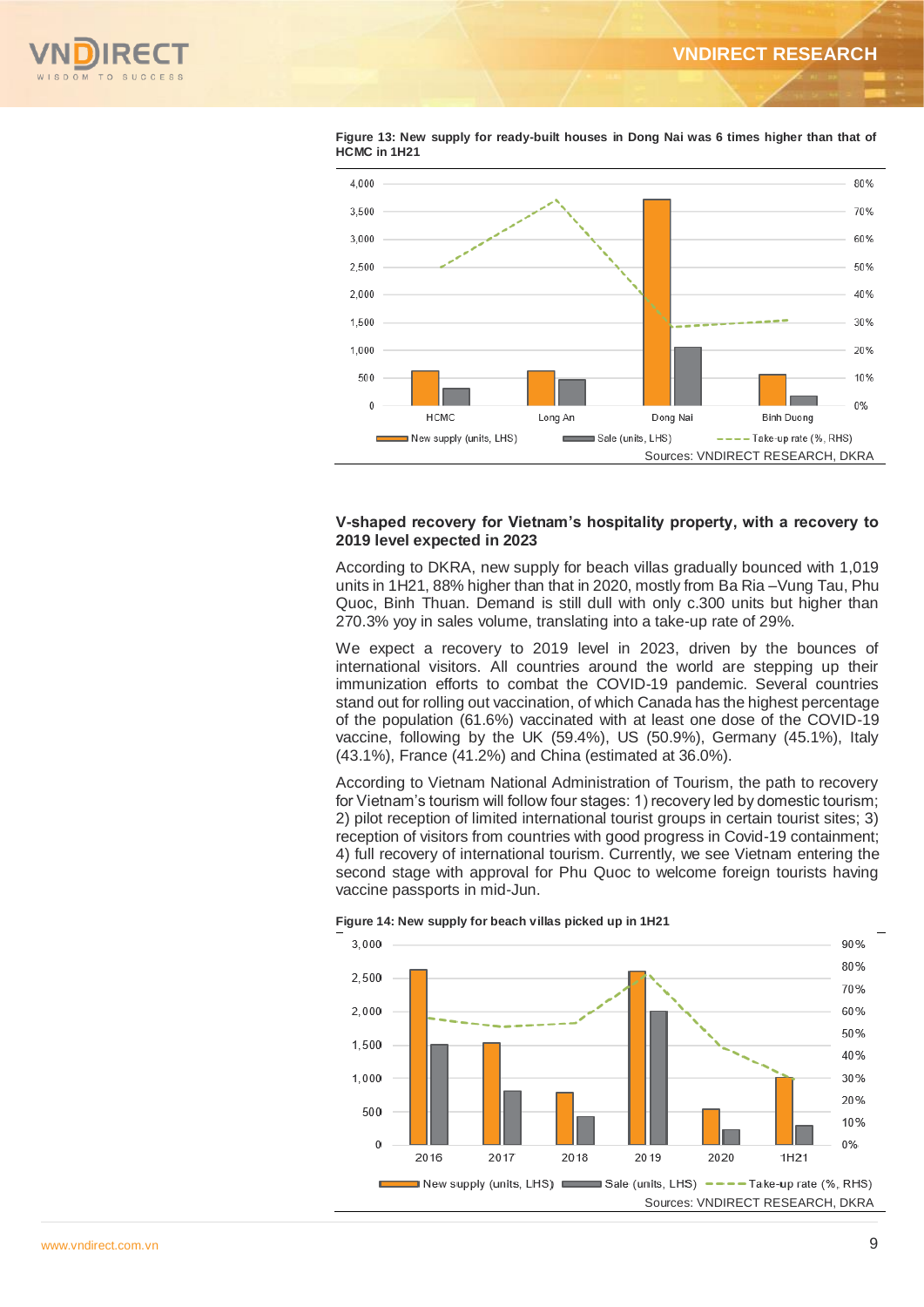



**Figure 13: New supply for ready-built houses in Dong Nai was 6 times higher than that of HCMC in 1H21**

#### **V-shaped recovery for Vietnam's hospitality property, with a recovery to 2019 level expected in 2023**

According to DKRA, new supply for beach villas gradually bounced with 1,019 units in 1H21, 88% higher than that in 2020, mostly from Ba Ria –Vung Tau, Phu Quoc, Binh Thuan. Demand is still dull with only c.300 units but higher than 270.3% yoy in sales volume, translating into a take-up rate of 29%.

We expect a recovery to 2019 level in 2023, driven by the bounces of international visitors. All countries around the world are stepping up their immunization efforts to combat the COVID-19 pandemic. Several countries stand out for rolling out vaccination, of which Canada has the highest percentage of the population (61.6%) vaccinated with at least one dose of the COVID-19 vaccine, following by the UK (59.4%), US (50.9%), Germany (45.1%), Italy (43.1%), France (41.2%) and China (estimated at 36.0%).

According to Vietnam National Administration of Tourism, the path to recovery for Vietnam's tourism will follow four stages: 1) recovery led by domestic tourism; 2) pilot reception of limited international tourist groups in certain tourist sites; 3) reception of visitors from countries with good progress in Covid-19 containment; 4) full recovery of international tourism. Currently, we see Vietnam entering the second stage with approval for Phu Quoc to welcome foreign tourists having vaccine passports in mid-Jun.



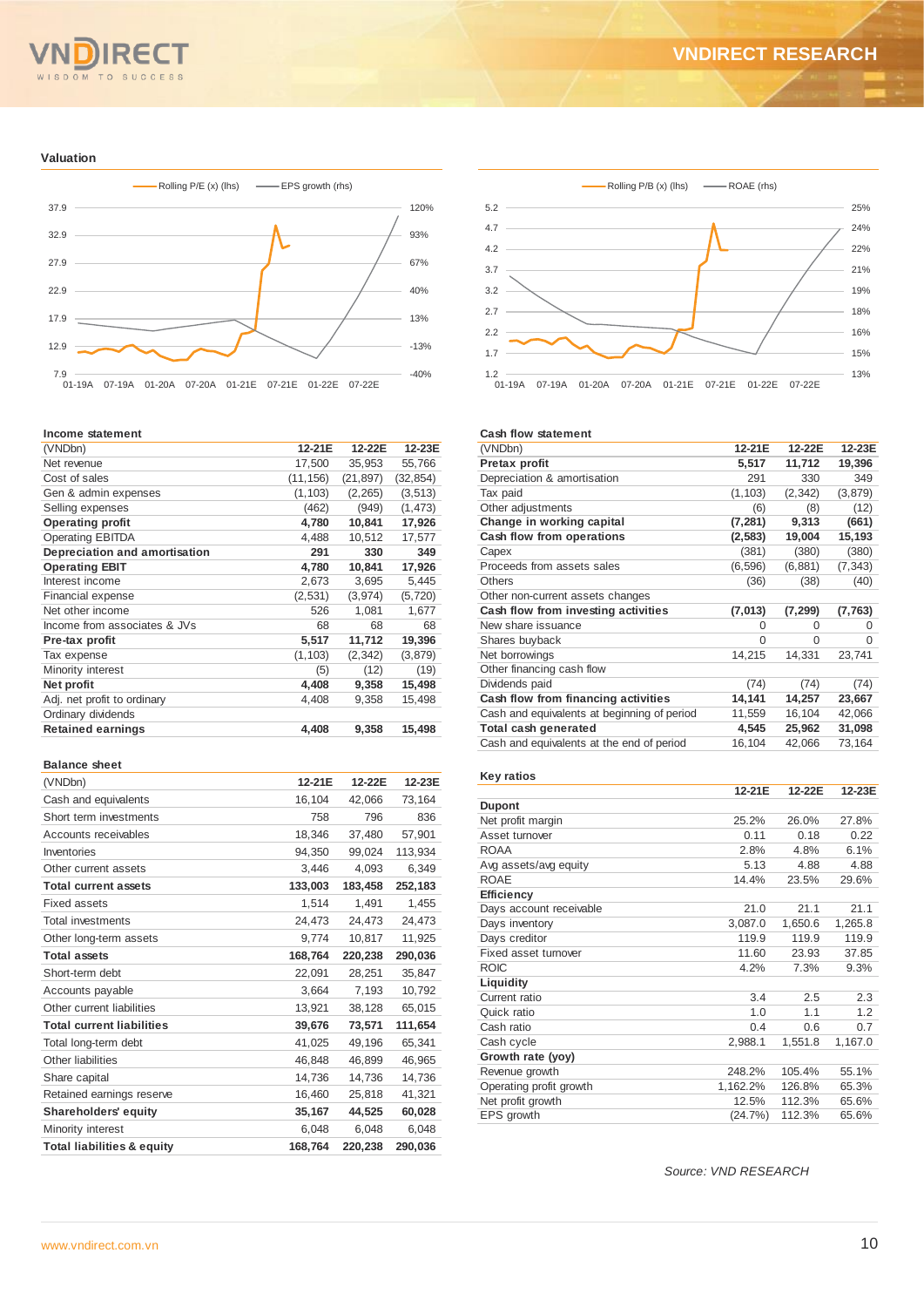# WISDOM TO SUCCESS

#### **VNDIRECT RESEARCH**

#### **Valuation**



#### **Income statement**

| (VNDbn)                       | 12-21E    | 12-22E    | 12-23E    |
|-------------------------------|-----------|-----------|-----------|
| Net revenue                   | 17,500    | 35,953    | 55,766    |
| Cost of sales                 | (11, 156) | (21, 897) | (32, 854) |
| Gen & admin expenses          | (1, 103)  | (2, 265)  | (3, 513)  |
| Selling expenses              | (462)     | (949)     | (1, 473)  |
| <b>Operating profit</b>       | 4,780     | 10,841    | 17,926    |
| <b>Operating EBITDA</b>       | 4,488     | 10,512    | 17,577    |
| Depreciation and amortisation | 291       | 330       | 349       |
| <b>Operating EBIT</b>         | 4,780     | 10,841    | 17,926    |
| Interest income               | 2,673     | 3,695     | 5,445     |
| Financial expense             | (2,531)   | (3,974)   | (5, 720)  |
| Net other income              | 526       | 1,081     | 1,677     |
| Income from associates & JVs  | 68        | 68        | 68        |
| Pre-tax profit                | 5,517     | 11,712    | 19,396    |
| Tax expense                   | (1, 103)  | (2, 342)  | (3,879)   |
| Minority interest             | (5)       | (12)      | (19)      |
| Net profit                    | 4,408     | 9,358     | 15,498    |
| Adj. net profit to ordinary   | 4,408     | 9,358     | 15,498    |
| Ordinary dividends            |           |           |           |
| <b>Retained earnings</b>      | 4,408     | 9,358     | 15,498    |
|                               |           |           |           |

#### **Balance sheet**

| (VNDbn)                               | 12-21E  | 12-22E  | 12-23E  |
|---------------------------------------|---------|---------|---------|
| Cash and equivalents                  | 16,104  | 42,066  | 73,164  |
| Short term investments                | 758     | 796     | 836     |
| Accounts receivables                  | 18,346  | 37.480  | 57,901  |
| Inventories                           | 94,350  | 99,024  | 113,934 |
| Other current assets                  | 3,446   | 4,093   | 6.349   |
| <b>Total current assets</b>           | 133,003 | 183,458 | 252,183 |
| Fixed assets                          | 1,514   | 1.491   | 1.455   |
| <b>Total investments</b>              | 24,473  | 24,473  | 24,473  |
| Other long-term assets                | 9,774   | 10,817  | 11,925  |
| <b>Total assets</b>                   | 168,764 | 220,238 | 290,036 |
| Short-term debt                       | 22,091  | 28,251  | 35,847  |
| Accounts payable                      | 3,664   | 7,193   | 10,792  |
| Other current liabilities             | 13,921  | 38,128  | 65,015  |
| <b>Total current liabilities</b>      | 39,676  | 73,571  | 111,654 |
| Total long-term debt                  | 41,025  | 49.196  | 65,341  |
| Other liabilities                     | 46,848  | 46,899  | 46,965  |
| Share capital                         | 14,736  | 14.736  | 14,736  |
| Retained earnings reserve             | 16,460  | 25,818  | 41,321  |
| <b>Shareholders' equity</b>           | 35,167  | 44,525  | 60,028  |
| Minority interest                     | 6,048   | 6,048   | 6,048   |
| <b>Total liabilities &amp; equity</b> | 168,764 | 220,238 | 290,036 |



#### **Cash flow statement**

| (VNDbn)                                     | 12-21E   | 12-22E   | 12-23E   |
|---------------------------------------------|----------|----------|----------|
| <b>Pretax profit</b>                        | 5,517    | 11,712   | 19,396   |
| Depreciation & amortisation                 | 291      | 330      | 349      |
| Tax paid                                    | (1, 103) | (2, 342) | (3, 879) |
| Other adjustments                           | (6)      | (8)      | (12)     |
| Change in working capital                   | (7, 281) | 9,313    | (661)    |
| Cash flow from operations                   | (2, 583) | 19,004   | 15,193   |
| Capex                                       | (381)    | (380)    | (380)    |
| Proceeds from assets sales                  | (6, 596) | (6,881)  | (7, 343) |
| <b>Others</b>                               | (36)     | (38)     | (40)     |
| Other non-current assets changes            |          |          |          |
| Cash flow from investing activities         | (7, 013) | (7, 299) | (7, 763) |
| New share issuance                          | $\Omega$ | 0        | 0        |
| Shares buyback                              | $\Omega$ | $\Omega$ | 0        |
| Net borrowings                              | 14,215   | 14,331   | 23,741   |
| Other financing cash flow                   |          |          |          |
| Dividends paid                              | (74)     | (74)     | (74)     |
| Cash flow from financing activities         | 14,141   | 14,257   | 23,667   |
| Cash and equivalents at beginning of period | 11,559   | 16,104   | 42,066   |
| Total cash generated                        | 4,545    | 25,962   | 31,098   |
| Cash and equivalents at the end of period   | 16,104   | 42,066   | 73,164   |
|                                             |          |          |          |
| Key ratios                                  |          |          |          |

#### **12-21E 12-22E 12-23E Dupont** Net profit margin 25.2% 26.0% 27.8% Asset turnover 0.11 0.18 0.22<br>ROAA 2.8% 4.8% 6.1% ROAA 2.8% 4.8% 6.1% Avg assets/avg equity 6.13 4.88 4.88 ROAE 14.4% 23.5% 29.6% **Efficiency** Days account receivable 21.0 21.1 21.1 21.1<br>
Days inventory 3,087.0 1,650.6 1,265.8 Days inventory Days creditor 119.9 119.9 119.9 Fixed asset turnover 11.60 23.93 37.85<br>ROIC 4.2% 7.3% 9.3% ROIC 4.2% 7.3% 9.3% **Liquidity** Current ratio 3.4 2.5 2.3<br>
Quick ratio 1.0 1.1 1.2 Quick ratio 1.0 1.1 1.2 Cash ratio 0.4 0.6 0.7<br>Cash cycle 2,988.1 1,551.8 1,167.0 Cash cycle **Growth rate (yoy)** Revenue growth 248.2% 105.4% 55.1%<br>
Operating profit growth 1.162.2% 126.8% 65.3% Operating profit growth 1,162.2% 126.8% Net profit growth 12.5% 112.3% 65.6%<br>EPS growth (24.7%) 112.3% 65.6%  $EPS$  growth

*Source: VND RESEARCH*